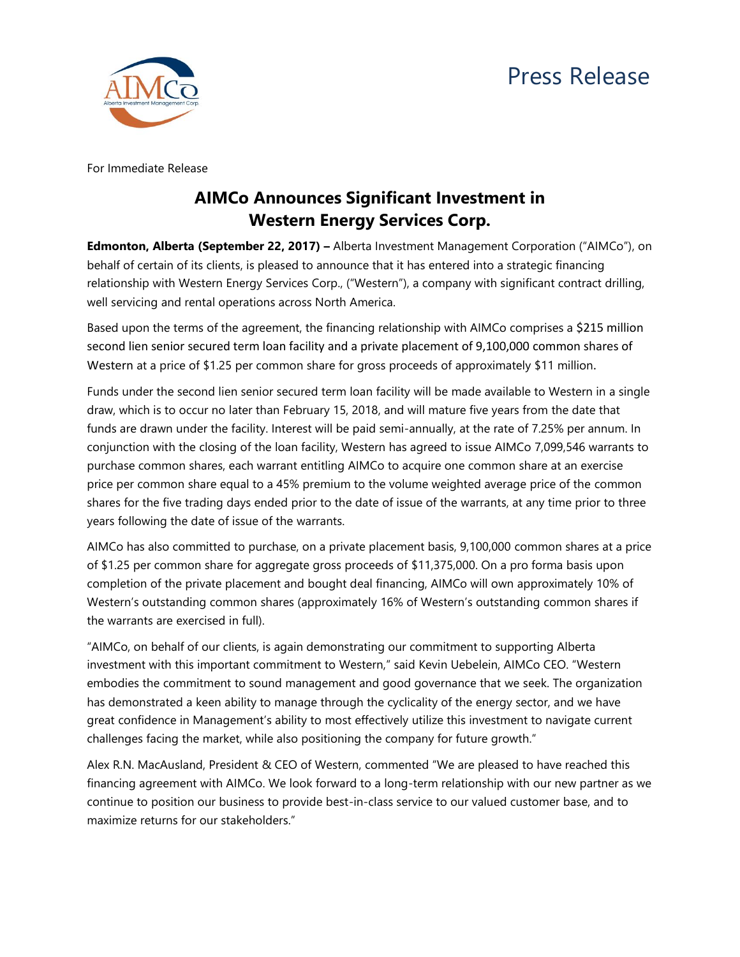## Press Release



For Immediate Release

## **AIMCo Announces Significant Investment in Western Energy Services Corp.**

**Edmonton, Alberta (September 22, 2017) –** Alberta Investment Management Corporation ("AIMCo"), on behalf of certain of its clients, is pleased to announce that it has entered into a strategic financing relationship with Western Energy Services Corp., ("Western"), a company with significant contract drilling, well servicing and rental operations across North America.

Based upon the terms of the agreement, the financing relationship with AIMCo comprises a \$215 million second lien senior secured term loan facility and a private placement of 9,100,000 common shares of Western at a price of \$1.25 per common share for gross proceeds of approximately \$11 million.

Funds under the second lien senior secured term loan facility will be made available to Western in a single draw, which is to occur no later than February 15, 2018, and will mature five years from the date that funds are drawn under the facility. Interest will be paid semi-annually, at the rate of 7.25% per annum. In conjunction with the closing of the loan facility, Western has agreed to issue AIMCo 7,099,546 warrants to purchase common shares, each warrant entitling AIMCo to acquire one common share at an exercise price per common share equal to a 45% premium to the volume weighted average price of the common shares for the five trading days ended prior to the date of issue of the warrants, at any time prior to three years following the date of issue of the warrants.

AIMCo has also committed to purchase, on a private placement basis, 9,100,000 common shares at a price of \$1.25 per common share for aggregate gross proceeds of \$11,375,000. On a pro forma basis upon completion of the private placement and bought deal financing, AIMCo will own approximately 10% of Western's outstanding common shares (approximately 16% of Western's outstanding common shares if the warrants are exercised in full).

"AIMCo, on behalf of our clients, is again demonstrating our commitment to supporting Alberta investment with this important commitment to Western," said Kevin Uebelein, AIMCo CEO. "Western embodies the commitment to sound management and good governance that we seek. The organization has demonstrated a keen ability to manage through the cyclicality of the energy sector, and we have great confidence in Management's ability to most effectively utilize this investment to navigate current challenges facing the market, while also positioning the company for future growth."

Alex R.N. MacAusland, President & CEO of Western, commented "We are pleased to have reached this financing agreement with AIMCo. We look forward to a long-term relationship with our new partner as we continue to position our business to provide best-in-class service to our valued customer base, and to maximize returns for our stakeholders."